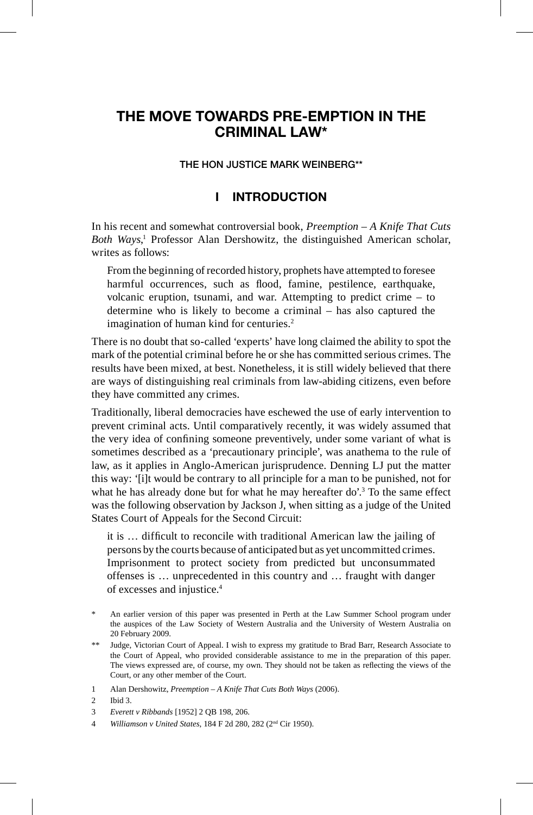# **THE MOVE TOWARDS PRE-EMPTION IN THE CRIMINAL LAW\***

#### **THE HON JUSTICE MARK WEINBERG\*\***

## **I INTRODUCTION**

In his recent and somewhat controversial book, *Preemption – A Knife That Cuts*  Both Ways,<sup>1</sup> Professor Alan Dershowitz, the distinguished American scholar, writes as follows:

From the beginning of recorded history, prophets have attempted to foresee harmful occurrences, such as flood, famine, pestilence, earthquake, volcanic eruption, tsunami, and war. Attempting to predict crime – to determine who is likely to become a criminal – has also captured the imagination of human kind for centuries.<sup>2</sup>

There is no doubt that so-called 'experts' have long claimed the ability to spot the mark of the potential criminal before he or she has committed serious crimes. The results have been mixed, at best. Nonetheless, it is still widely believed that there are ways of distinguishing real criminals from law-abiding citizens, even before they have committed any crimes.

Traditionally, liberal democracies have eschewed the use of early intervention to prevent criminal acts. Until comparatively recently, it was widely assumed that the very idea of confining someone preventively, under some variant of what is sometimes described as a 'precautionary principle', was anathema to the rule of law, as it applies in Anglo-American jurisprudence. Denning LJ put the matter this way: '[i]t would be contrary to all principle for a man to be punished, not for what he has already done but for what he may hereafter do'.<sup>3</sup> To the same effect was the following observation by Jackson J, when sitting as a judge of the United States Court of Appeals for the Second Circuit:

it is ... difficult to reconcile with traditional American law the jailing of persons by the courts because of anticipated but as yet uncommitted crimes. Imprisonment to protect society from predicted but unconsummated offenses is … unprecedented in this country and … fraught with danger of excesses and injustice.4

An earlier version of this paper was presented in Perth at the Law Summer School program under the auspices of the Law Society of Western Australia and the University of Western Australia on 20 February 2009.

<sup>\*\*</sup> Judge, Victorian Court of Appeal. I wish to express my gratitude to Brad Barr, Research Associate to the Court of Appeal, who provided considerable assistance to me in the preparation of this paper. The views expressed are, of course, my own. They should not be taken as reflecting the views of the Court, or any other member of the Court.

<sup>1</sup> Alan Dershowitz, *Preemption – A Knife That Cuts Both Ways* (2006).

<sup>2</sup> Ibid 3.

<sup>3</sup> *Everett v Ribbands* [1952] 2 QB 198, 206.

<sup>4</sup> *Williamson v United States*, 184 F 2d 280, 282 (2nd Cir 1950).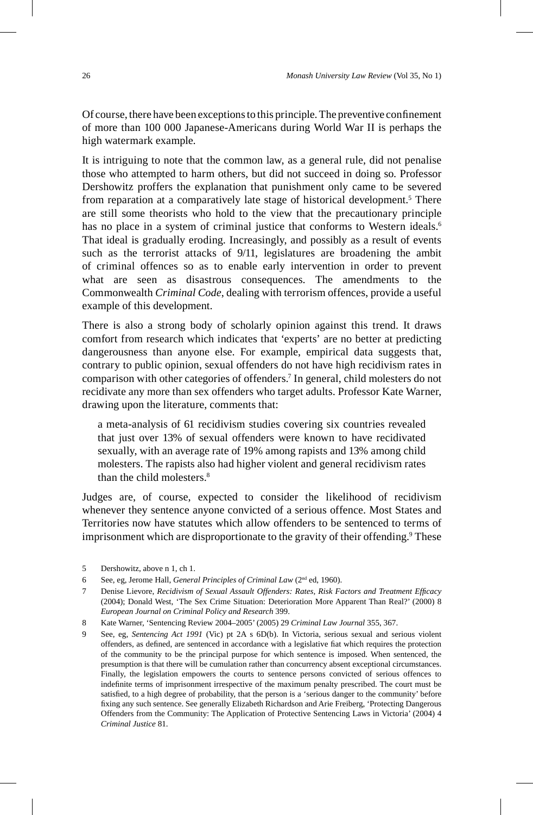Of course, there have been exceptions to this principle. The preventive confinement of more than 100 000 Japanese-Americans during World War II is perhaps the high watermark example.

It is intriguing to note that the common law, as a general rule, did not penalise those who attempted to harm others, but did not succeed in doing so. Professor Dershowitz proffers the explanation that punishment only came to be severed from reparation at a comparatively late stage of historical development.<sup>5</sup> There are still some theorists who hold to the view that the precautionary principle has no place in a system of criminal justice that conforms to Western ideals.<sup>6</sup> That ideal is gradually eroding. Increasingly, and possibly as a result of events such as the terrorist attacks of 9/11, legislatures are broadening the ambit of criminal offences so as to enable early intervention in order to prevent what are seen as disastrous consequences. The amendments to the Commonwealth *Criminal Code*, dealing with terrorism offences, provide a useful example of this development.

There is also a strong body of scholarly opinion against this trend. It draws comfort from research which indicates that 'experts' are no better at predicting dangerousness than anyone else. For example, empirical data suggests that, contrary to public opinion, sexual offenders do not have high recidivism rates in comparison with other categories of offenders.7 In general, child molesters do not recidivate any more than sex offenders who target adults. Professor Kate Warner, drawing upon the literature, comments that:

a meta-analysis of 61 recidivism studies covering six countries revealed that just over 13% of sexual offenders were known to have recidivated sexually, with an average rate of 19% among rapists and 13% among child molesters. The rapists also had higher violent and general recidivism rates than the child molesters.8

Judges are, of course, expected to consider the likelihood of recidivism whenever they sentence anyone convicted of a serious offence. Most States and Territories now have statutes which allow offenders to be sentenced to terms of imprisonment which are disproportionate to the gravity of their offending.<sup>9</sup> These

- 7 Denise Lievore, *Recidivism of Sexual Assault Offenders: Rates, Risk Factors and Treatment Effi cacy*  (2004); Donald West, 'The Sex Crime Situation: Deterioration More Apparent Than Real?' (2000) 8 *European Journal on Criminal Policy and Research* 399.
- 8 Kate Warner, 'Sentencing Review 2004–2005' (2005) 29 *Criminal Law Journal* 355, 367.
- 9 See, eg, *Sentencing Act 1991* (Vic) pt 2A s 6D(b). In Victoria, serious sexual and serious violent offenders, as defined, are sentenced in accordance with a legislative fiat which requires the protection of the community to be the principal purpose for which sentence is imposed. When sentenced, the presumption is that there will be cumulation rather than concurrency absent exceptional circumstances. Finally, the legislation empowers the courts to sentence persons convicted of serious offences to indefinite terms of imprisonment irrespective of the maximum penalty prescribed. The court must be satisfied, to a high degree of probability, that the person is a 'serious danger to the community' before fixing any such sentence. See generally Elizabeth Richardson and Arie Freiberg, 'Protecting Dangerous Offenders from the Community: The Application of Protective Sentencing Laws in Victoria' (2004) 4 *Criminal Justice* 81.

<sup>5</sup> Dershowitz, above n 1, ch 1.

<sup>6</sup> See, eg, Jerome Hall, *General Principles of Criminal Law* (2nd ed, 1960).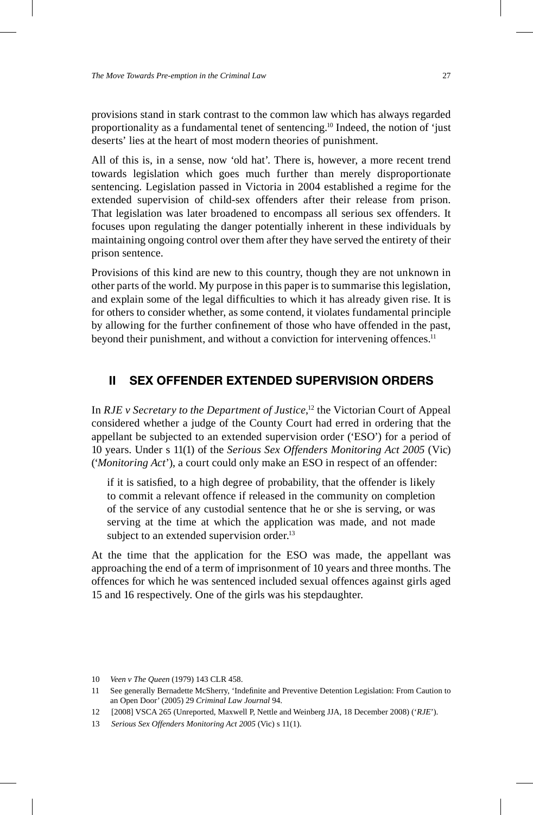provisions stand in stark contrast to the common law which has always regarded proportionality as a fundamental tenet of sentencing.10 Indeed, the notion of 'just deserts' lies at the heart of most modern theories of punishment.

All of this is, in a sense, now 'old hat'. There is, however, a more recent trend towards legislation which goes much further than merely disproportionate sentencing. Legislation passed in Victoria in 2004 established a regime for the extended supervision of child-sex offenders after their release from prison. That legislation was later broadened to encompass all serious sex offenders. It focuses upon regulating the danger potentially inherent in these individuals by maintaining ongoing control over them after they have served the entirety of their prison sentence.

Provisions of this kind are new to this country, though they are not unknown in other parts of the world. My purpose in this paper is to summarise this legislation, and explain some of the legal difficulties to which it has already given rise. It is for others to consider whether, as some contend, it violates fundamental principle by allowing for the further confinement of those who have offended in the past, beyond their punishment, and without a conviction for intervening offences.<sup>11</sup>

## **II SEX OFFENDER EXTENDED SUPERVISION ORDERS**

In *RJE v Secretary to the Department of Justice*, 12 the Victorian Court of Appeal considered whether a judge of the County Court had erred in ordering that the appellant be subjected to an extended supervision order ('ESO') for a period of 10 years. Under s 11(1) of the *Serious Sex Offenders Monitoring Act 2005* (Vic) ('*Monitoring Act*'), a court could only make an ESO in respect of an offender:

if it is satisfied, to a high degree of probability, that the offender is likely to commit a relevant offence if released in the community on completion of the service of any custodial sentence that he or she is serving, or was serving at the time at which the application was made, and not made subject to an extended supervision order.<sup>13</sup>

At the time that the application for the ESO was made, the appellant was approaching the end of a term of imprisonment of 10 years and three months. The offences for which he was sentenced included sexual offences against girls aged 15 and 16 respectively. One of the girls was his stepdaughter.

<sup>10</sup> *Veen v The Queen* (1979) 143 CLR 458.

<sup>11</sup> See generally Bernadette McSherry, 'Indefinite and Preventive Detention Legislation: From Caution to an Open Door' (2005) 29 *Criminal Law Journal* 94.

<sup>12 [2008]</sup> VSCA 265 (Unreported, Maxwell P, Nettle and Weinberg JJA, 18 December 2008) ('*RJE*').

<sup>13</sup> *Serious Sex Offenders Monitoring Act 2005* (Vic) s 11(1).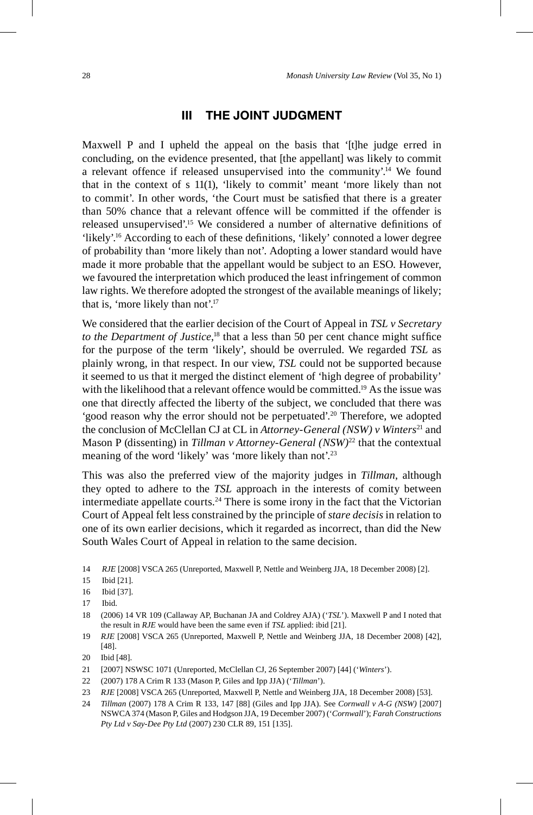#### **III THE JOINT JUDGMENT**

Maxwell P and I upheld the appeal on the basis that '[t]he judge erred in concluding, on the evidence presented, that [the appellant] was likely to commit a relevant offence if released unsupervised into the community'.14 We found that in the context of s 11(1), 'likely to commit' meant 'more likely than not to commit'. In other words, 'the Court must be satisfied that there is a greater than 50% chance that a relevant offence will be committed if the offender is released unsupervised'.<sup>15</sup> We considered a number of alternative definitions of 'likely'.<sup>16</sup> According to each of these definitions, 'likely' connoted a lower degree of probability than 'more likely than not'. Adopting a lower standard would have made it more probable that the appellant would be subject to an ESO. However, we favoured the interpretation which produced the least infringement of common law rights. We therefore adopted the strongest of the available meanings of likely; that is, 'more likely than not'.17

We considered that the earlier decision of the Court of Appeal in *TSL v Secretary*  to the Department of Justice,<sup>18</sup> that a less than 50 per cent chance might suffice for the purpose of the term 'likely', should be overruled. We regarded *TSL* as plainly wrong, in that respect. In our view, *TSL* could not be supported because it seemed to us that it merged the distinct element of 'high degree of probability' with the likelihood that a relevant offence would be committed.<sup>19</sup> As the issue was one that directly affected the liberty of the subject, we concluded that there was 'good reason why the error should not be perpetuated'.<sup>20</sup> Therefore, we adopted the conclusion of McClellan CJ at CL in *Attorney-General (NSW) v Winters*<sup>21</sup> and Mason P (dissenting) in *Tillman v Attorney-General (NSW)*22 that the contextual meaning of the word 'likely' was 'more likely than not'.<sup>23</sup>

This was also the preferred view of the majority judges in *Tillman*, although they opted to adhere to the *TSL* approach in the interests of comity between intermediate appellate courts.<sup>24</sup> There is some irony in the fact that the Victorian Court of Appeal felt less constrained by the principle of *stare decisis* in relation to one of its own earlier decisions, which it regarded as incorrect, than did the New South Wales Court of Appeal in relation to the same decision.

<sup>14</sup> *RJE* [2008] VSCA 265 (Unreported, Maxwell P, Nettle and Weinberg JJA, 18 December 2008) [2].

<sup>15</sup> Ibid [21].

<sup>16</sup> Ibid [37].

<sup>17</sup> Ibid.

<sup>18 (2006) 14</sup> VR 109 (Callaway AP, Buchanan JA and Coldrey AJA) ('*TSL*'). Maxwell P and I noted that the result in *RJE* would have been the same even if *TSL* applied: ibid [21].

<sup>19</sup> *RJE* [2008] VSCA 265 (Unreported, Maxwell P, Nettle and Weinberg JJA, 18 December 2008) [42], [48].

<sup>20</sup> Ibid [48].

<sup>21 [2007]</sup> NSWSC 1071 (Unreported, McClellan CJ, 26 September 2007) [44] ('*Winters*').

<sup>22 (2007) 178</sup> A Crim R 133 (Mason P, Giles and Ipp JJA) ('*Tillman*').

<sup>23</sup> *RJE* [2008] VSCA 265 (Unreported, Maxwell P, Nettle and Weinberg JJA, 18 December 2008) [53].

<sup>24</sup> *Tillman* (2007) 178 A Crim R 133, 147 [88] (Giles and Ipp JJA). See *Cornwall v A-G (NSW)* [2007] NSWCA 374 (Mason P, Giles and Hodgson JJA, 19 December 2007) ('*Cornwall*'); *Farah Constructions Pty Ltd v Say-Dee Pty Ltd* (2007) 230 CLR 89, 151 [135].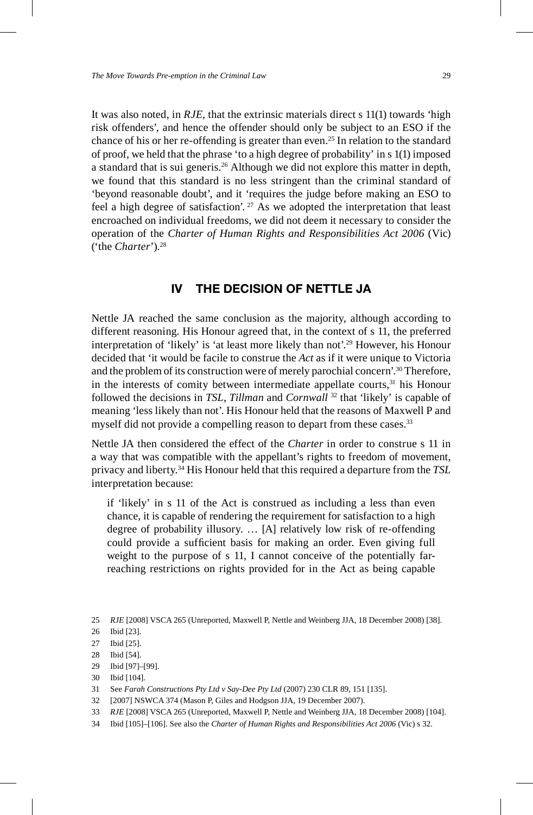It was also noted, in *RJE*, that the extrinsic materials direct s 11(1) towards 'high risk offenders', and hence the offender should only be subject to an ESO if the chance of his or her re-offending is greater than even.<sup>25</sup> In relation to the standard of proof, we held that the phrase 'to a high degree of probability' in s 1(1) imposed a standard that is sui generis.26 Although we did not explore this matter in depth, we found that this standard is no less stringent than the criminal standard of 'beyond reasonable doubt', and it 'requires the judge before making an ESO to feel a high degree of satisfaction'.  $27$  As we adopted the interpretation that least encroached on individual freedoms, we did not deem it necessary to consider the operation of the *Charter of Human Rights and Responsibilities Act 2006* (Vic) ('the *Charter*').28

#### **IV THE DECISION OF NETTLE JA**

Nettle JA reached the same conclusion as the majority, although according to different reasoning. His Honour agreed that, in the context of s 11, the preferred interpretation of 'likely' is 'at least more likely than not'.29 However, his Honour decided that 'it would be facile to construe the *Act* as if it were unique to Victoria and the problem of its construction were of merely parochial concern'.30 Therefore, in the interests of comity between intermediate appellate courts,<sup>31</sup> his Honour followed the decisions in *TSL*, *Tillman* and *Cornwall* 32 that 'likely' is capable of meaning 'less likely than not'. His Honour held that the reasons of Maxwell P and myself did not provide a compelling reason to depart from these cases.<sup>33</sup>

Nettle JA then considered the effect of the *Charter* in order to construe s 11 in a way that was compatible with the appellant's rights to freedom of movement, privacy and liberty.34 His Honour held that this required a departure from the *TSL*  interpretation because:

if 'likely' in s 11 of the Act is construed as including a less than even chance, it is capable of rendering the requirement for satisfaction to a high degree of probability illusory. … [A] relatively low risk of re-offending could provide a sufficient basis for making an order. Even giving full weight to the purpose of s 11, I cannot conceive of the potentially farreaching restrictions on rights provided for in the Act as being capable

- 30 Ibid [104].
- 31 See *Farah Constructions Pty Ltd v Say-Dee Pty Ltd* (2007) 230 CLR 89, 151 [135].
- 32 [2007] NSWCA 374 (Mason P, Giles and Hodgson JJA, 19 December 2007).
- 33 *RJE* [2008] VSCA 265 (Unreported, Maxwell P, Nettle and Weinberg JJA, 18 December 2008) [104].
- 34 Ibid [105]–[106]. See also the *Charter of Human Rights and Responsibilities Act 2006* (Vic) s 32.

<sup>25</sup> *RJE* [2008] VSCA 265 (Unreported, Maxwell P, Nettle and Weinberg JJA, 18 December 2008) [38].

<sup>26</sup> Ibid [23].

<sup>27</sup> Ibid [25].

<sup>28</sup> Ibid [54].

<sup>29</sup> Ibid [97]–[99].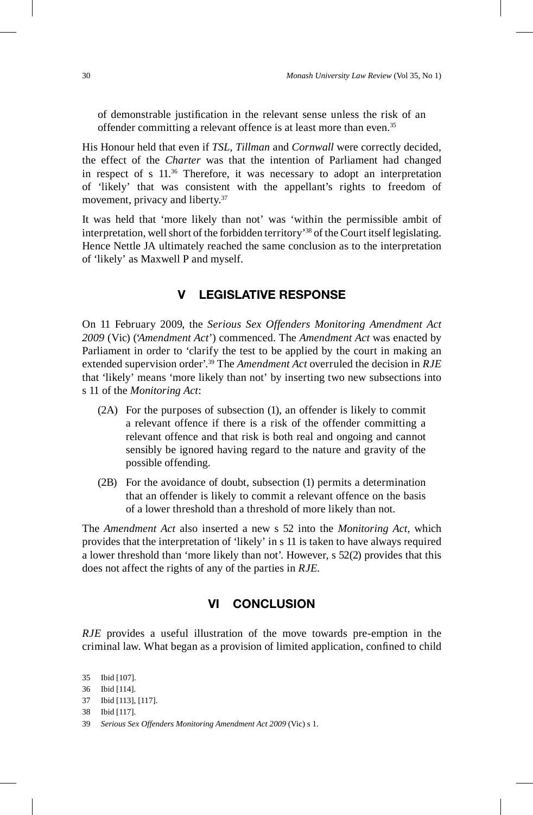of demonstrable justification in the relevant sense unless the risk of an offender committing a relevant offence is at least more than even.<sup>35</sup>

His Honour held that even if *TSL*, *Tillman* and *Cornwall* were correctly decided, the effect of the *Charter* was that the intention of Parliament had changed in respect of s 11.36 Therefore, it was necessary to adopt an interpretation of 'likely' that was consistent with the appellant's rights to freedom of movement, privacy and liberty.<sup>37</sup>

It was held that 'more likely than not' was 'within the permissible ambit of interpretation, well short of the forbidden territory'38 of the Court itself legislating. Hence Nettle JA ultimately reached the same conclusion as to the interpretation of 'likely' as Maxwell P and myself.

#### **V LEGISLATIVE RESPONSE**

On 11 February 2009, the *Serious Sex Offenders Monitoring Amendment Act 2009* (Vic) ('*Amendment Act*') commenced. The *Amendment Act* was enacted by Parliament in order to 'clarify the test to be applied by the court in making an extended supervision order'.39 The *Amendment Act* overruled the decision in *RJE* that 'likely' means 'more likely than not' by inserting two new subsections into s 11 of the *Monitoring Act*:

- (2A) For the purposes of subsection (1), an offender is likely to commit a relevant offence if there is a risk of the offender committing a relevant offence and that risk is both real and ongoing and cannot sensibly be ignored having regard to the nature and gravity of the possible offending.
- (2B) For the avoidance of doubt, subsection (1) permits a determination that an offender is likely to commit a relevant offence on the basis of a lower threshold than a threshold of more likely than not.

The *Amendment Act* also inserted a new s 52 into the *Monitoring Act*, which provides that the interpretation of 'likely' in s 11 is taken to have always required a lower threshold than 'more likely than not'. However, s 52(2) provides that this does not affect the rights of any of the parties in *RJE*.

#### **VI CONCLUSION**

*RJE* provides a useful illustration of the move towards pre-emption in the criminal law. What began as a provision of limited application, confined to child

<sup>35</sup> Ibid [107].

<sup>36</sup> Ibid [114].

<sup>37</sup> Ibid [113], [117].

<sup>38</sup> Ibid [117].

<sup>39</sup> *Serious Sex Offenders Monitoring Amendment Act 2009* (Vic) s 1.